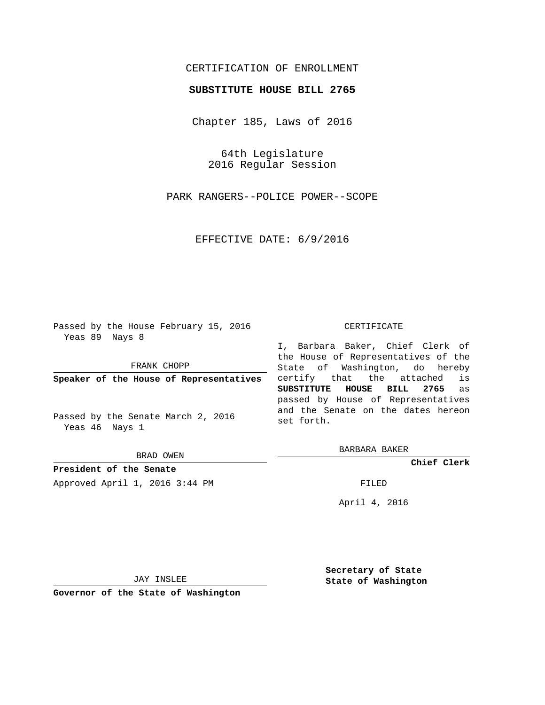## CERTIFICATION OF ENROLLMENT

## **SUBSTITUTE HOUSE BILL 2765**

Chapter 185, Laws of 2016

64th Legislature 2016 Regular Session

PARK RANGERS--POLICE POWER--SCOPE

EFFECTIVE DATE: 6/9/2016

Passed by the House February 15, 2016 Yeas 89 Nays 8

FRANK CHOPP

**Speaker of the House of Representatives**

Passed by the Senate March 2, 2016 Yeas 46 Nays 1

BRAD OWEN

**President of the Senate**

Approved April 1, 2016 3:44 PM FILED

## CERTIFICATE

I, Barbara Baker, Chief Clerk of the House of Representatives of the State of Washington, do hereby certify that the attached is **SUBSTITUTE HOUSE BILL 2765** as passed by House of Representatives and the Senate on the dates hereon set forth.

BARBARA BAKER

**Chief Clerk**

April 4, 2016

JAY INSLEE

**Governor of the State of Washington**

**Secretary of State State of Washington**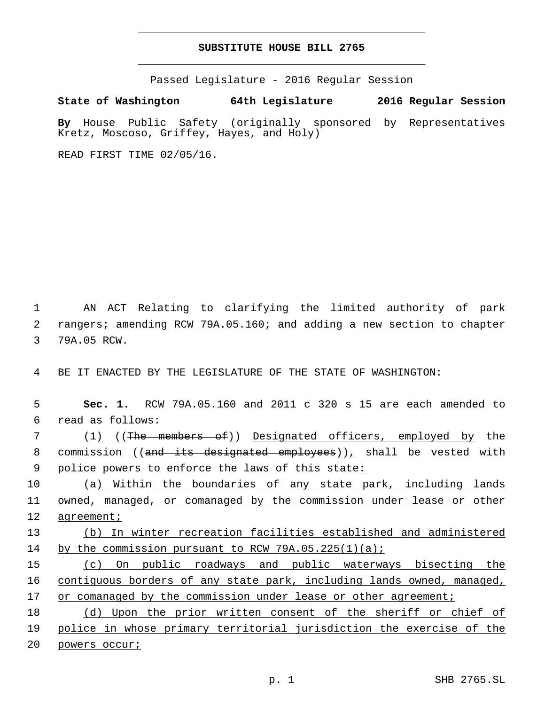## **SUBSTITUTE HOUSE BILL 2765**

Passed Legislature - 2016 Regular Session

**State of Washington 64th Legislature 2016 Regular Session**

**By** House Public Safety (originally sponsored by Representatives Kretz, Moscoso, Griffey, Hayes, and Holy)

READ FIRST TIME 02/05/16.

1 AN ACT Relating to clarifying the limited authority of park 2 rangers; amending RCW 79A.05.160; and adding a new section to chapter 3 79A.05 RCW.

4 BE IT ENACTED BY THE LEGISLATURE OF THE STATE OF WASHINGTON:

5 **Sec. 1.** RCW 79A.05.160 and 2011 c 320 s 15 are each amended to read as follows:6

7 (1) ((The members of)) Designated officers, employed by the 8 commission ((and its designated employees)), shall be vested with 9 police powers to enforce the laws of this state:

10 (a) Within the boundaries of any state park, including lands 11 owned, managed, or comanaged by the commission under lease or other 12 agreement;

13 (b) In winter recreation facilities established and administered 14 by the commission pursuant to RCW  $79A.05.225(1)(a)$ ;

15 (c) On public roadways and public waterways bisecting the 16 contiguous borders of any state park, including lands owned, managed, 17 or comanaged by the commission under lease or other agreement;

18 (d) Upon the prior written consent of the sheriff or chief of 19 police in whose primary territorial jurisdiction the exercise of the 20 powers occur;